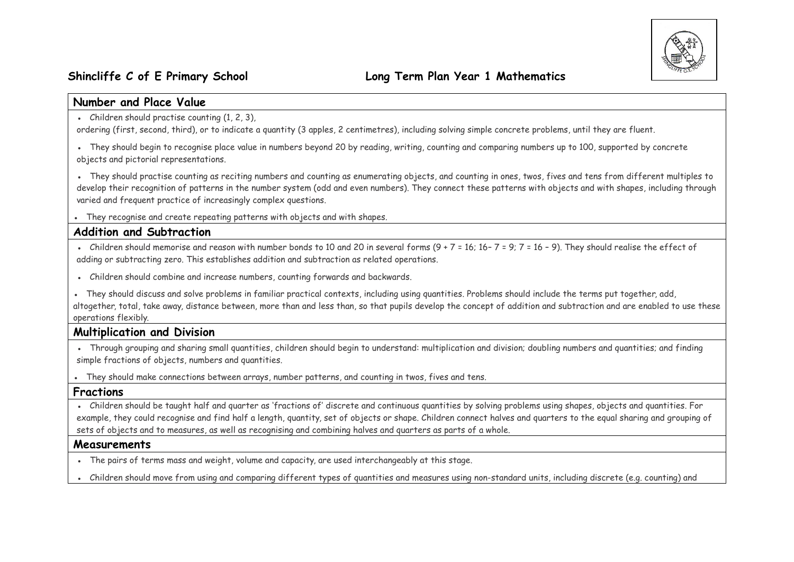

• Children should practise counting  $(1, 2, 3)$ ,

ordering (first, second, third), or to indicate a quantity (3 apples, 2 centimetres), including solving simple concrete problems, until they are fluent.

• They should begin to recognise place value in numbers beyond 20 by reading, writing, counting and comparing numbers up to 100, supported by concrete objects and pictorial representations.

• They should practise counting as reciting numbers and counting as enumerating objects, and counting in ones, twos, fives and tens from different multiples to develop their recognition of patterns in the number system (odd and even numbers). They connect these patterns with objects and with shapes, including through varied and frequent practice of increasingly complex questions.

• They recognise and create repeating patterns with objects and with shapes.

## **Addition and Subtraction**

• Children should memorise and reason with number bonds to 10 and 20 in several forms  $(9 + 7 = 16; 16 - 7 = 9; 7 = 16 - 9)$ . They should realise the effect of adding or subtracting zero. This establishes addition and subtraction as related operations.

• Children should combine and increase numbers, counting forwards and backwards.

● They should discuss and solve problems in familiar practical contexts, including using quantities. Problems should include the terms put together, add, altogether, total, take away, distance between, more than and less than, so that pupils develop the concept of addition and subtraction and are enabled to use these operations flexibly.

# **Multiplication and Division**

• Through grouping and sharing small quantities, children should begin to understand: multiplication and division; doubling numbers and quantities; and finding simple fractions of objects, numbers and quantities.

• They should make connections between arrays, number patterns, and counting in twos, fives and tens.

## **Fractions**

● Children should be taught half and quarter as 'fractions of' discrete and continuous quantities by solving problems using shapes, objects and quantities. For example, they could recognise and find half a length, quantity, set of objects or shape. Children connect halves and quarters to the equal sharing and grouping of sets of objects and to measures, as well as recognising and combining halves and quarters as parts of a whole.

## **Measurements**

• The pairs of terms mass and weight, volume and capacity, are used interchangeably at this stage.

• Children should move from using and comparing different types of quantities and measures using non-standard units, including discrete (e.g. counting) and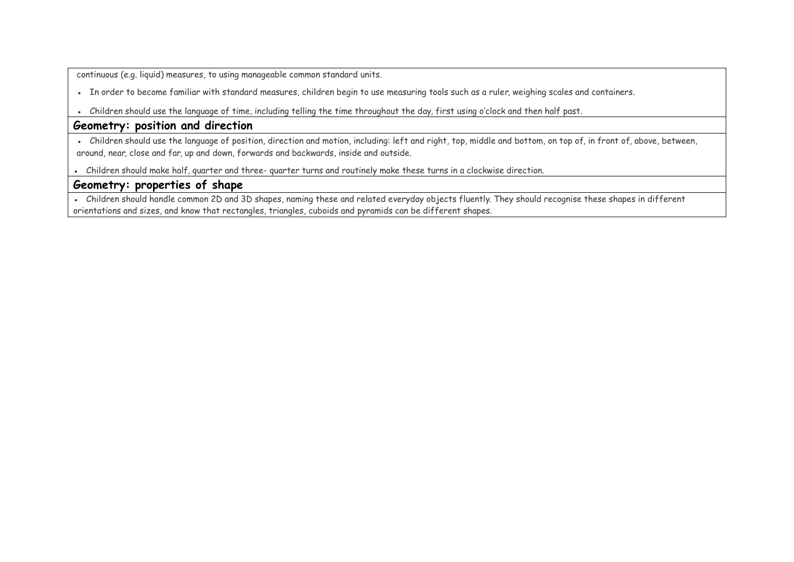continuous (e.g. liquid) measures, to using manageable common standard units.

● In order to become familiar with standard measures, children begin to use measuring tools such as a ruler, weighing scales and containers.

● Children should use the language of time, including telling the time throughout the day, first using o'clock and then half past.

#### **Geometry: position and direction**

- Children should use the language of position, direction and motion, including: left and right, top, middle and bottom, on top of, in front of, above, between, around, near, close and far, up and down, forwards and backwards, inside and outside.
- Children should make half, quarter and three- quarter turns and routinely make these turns in a clockwise direction.

#### **Geometry: properties of shape**

• Children should handle common 2D and 3D shapes, naming these and related everyday objects fluently. They should recognise these shapes in different orientations and sizes, and know that rectangles, triangles, cuboids and pyramids can be different shapes.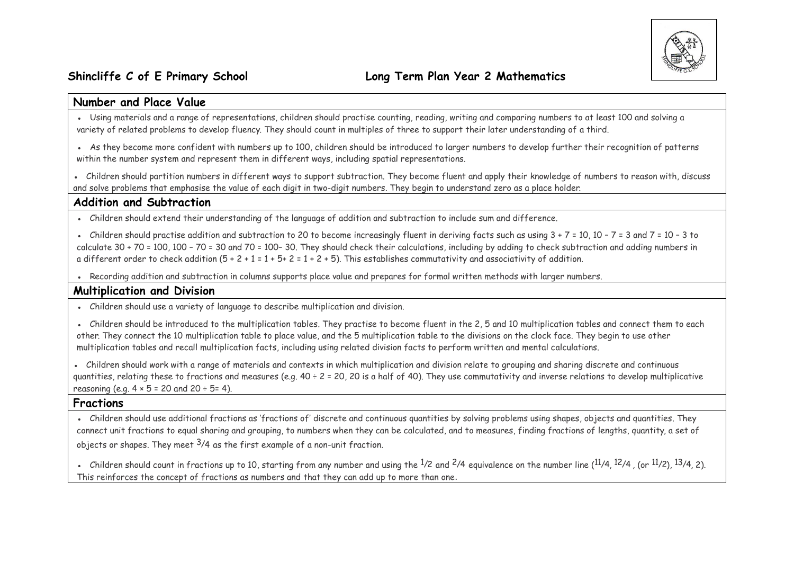

● Using materials and a range of representations, children should practise counting, reading, writing and comparing numbers to at least 100 and solving a variety of related problems to develop fluency. They should count in multiples of three to support their later understanding of a third.

● As they become more confident with numbers up to 100, children should be introduced to larger numbers to develop further their recognition of patterns within the number system and represent them in different ways, including spatial representations.

• Children should partition numbers in different ways to support subtraction. They become fluent and apply their knowledge of numbers to reason with, discuss and solve problems that emphasise the value of each digit in two-digit numbers. They begin to understand zero as a place holder.

## **Addition and Subtraction**

• Children should extend their understanding of the language of addition and subtraction to include sum and difference.

• Children should practise addition and subtraction to 20 to become increasingly fluent in deriving facts such as using  $3 + 7 = 10$ ,  $10 - 7 = 3$  and  $7 = 10 - 3$  to calculate 30 + 70 = 100, 100 – 70 = 30 and 70 = 100– 30. They should check their calculations, including by adding to check subtraction and adding numbers in a different order to check addition  $(5 + 2 + 1 = 1 + 5 + 2 = 1 + 2 + 5)$ . This establishes commutativity and associativity of addition.

• Recording addition and subtraction in columns supports place value and prepares for formal written methods with larger numbers.

# **Multiplication and Division**

● Children should use a variety of language to describe multiplication and division.

• Children should be introduced to the multiplication tables. They practise to become fluent in the 2, 5 and 10 multiplication tables and connect them to each other. They connect the 10 multiplication table to place value, and the 5 multiplication table to the divisions on the clock face. They begin to use other multiplication tables and recall multiplication facts, including using related division facts to perform written and mental calculations.

● Children should work with a range of materials and contexts in which multiplication and division relate to grouping and sharing discrete and continuous quantities, relating these to fractions and measures (e.g.  $40 \div 2 = 20$ , 20 is a half of 40). They use commutativity and inverse relations to develop multiplicative reasoning (e.g.  $4 \times 5 = 20$  and  $20 \div 5 = 4$ ).

## **Fractions**

● Children should use additional fractions as 'fractions of' discrete and continuous quantities by solving problems using shapes, objects and quantities. They connect unit fractions to equal sharing and grouping, to numbers when they can be calculated, and to measures, finding fractions of lengths, quantity, a set of objects or shapes. They meet  $3/4$  as the first example of a non-unit fraction.

• Children should count in fractions up to 10, starting from any number and using the  $1/2$  and  $2/4$  equivalence on the number line  $(^{11}/4, ^{12}/4, ^{12}/4, ^{13}/4, ^{13}/4, ^{2}).$ This reinforces the concept of fractions as numbers and that they can add up to more than one.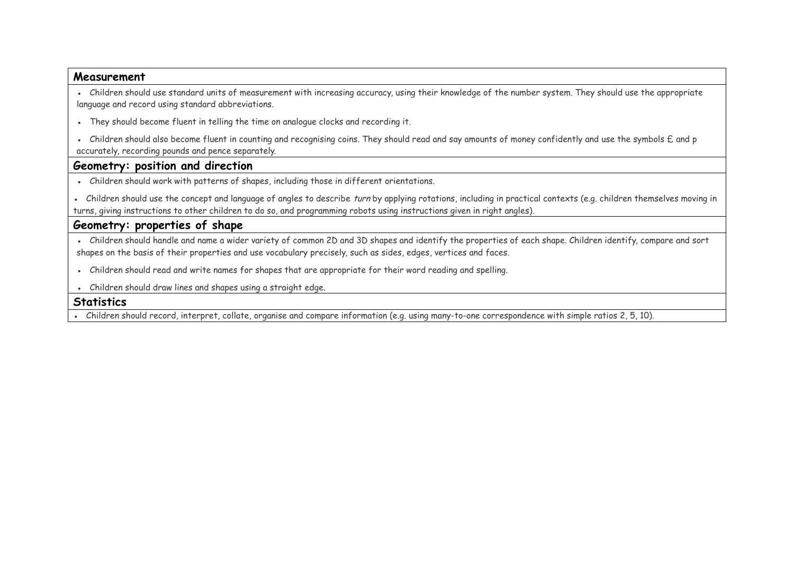#### **Measurement**

• Children should use standard units of measurement with increasing accuracy, using their knowledge of the number system. They should use the appropriate language and record using standard abbreviations.

- They should become fluent in telling the time on analogue clocks and recording it.
- Children should also become fluent in counting and recognising coins. They should read and say amounts of money confidently and use the symbols  $E$  and p accurately, recording pounds and pence separately.

## **Geometry: position and direction**

• Children should work with patterns of shapes, including those in different orientations.

• Children should use the concept and language of angles to describe turn by applying rotations, including in practical contexts (e.g. children themselves moving in turns, giving instructions to other children to do so, and programming robots using instructions given in right angles).

# **Geometry: properties of shape**

• Children should handle and name a wider variety of common 2D and 3D shapes and identify the properties of each shape. Children identify, compare and sort shapes on the basis of their properties and use vocabulary precisely, such as sides, edges, vertices and faces.

- Children should read and write names for shapes that are appropriate for their word reading and spelling.
- Children should draw lines and shapes using a straight edge.

#### **Statistics**

● Children should record, interpret, collate, organise and compare information (e.g. using many-to-one correspondence with simple ratios 2, 5, 10).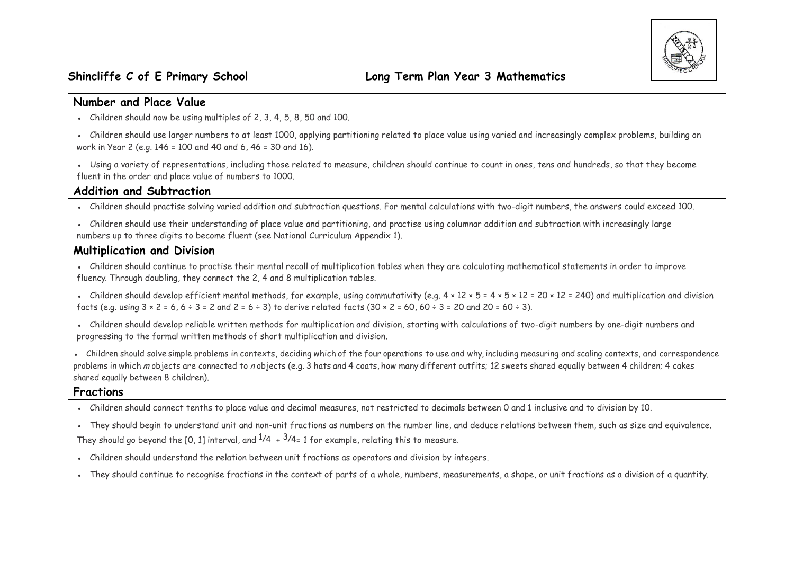

- Children should now be using multiples of  $2, 3, 4, 5, 8, 50$  and 100.
- Children should use larger numbers to at least 1000, applying partitioning related to place value using varied and increasingly complex problems, building on work in Year 2 (e.g. 146 = 100 and 40 and 6, 46 = 30 and 16).
- Using a variety of representations, including those related to measure, children should continue to count in ones, tens and hundreds, so that they become fluent in the order and place value of numbers to 1000.

# **Addition and Subtraction**

- Children should practise solving varied addition and subtraction questions. For mental calculations with two-digit numbers, the answers could exceed 100.
- Children should use their understanding of place value and partitioning, and practise using columnar addition and subtraction with increasingly large numbers up to three digits to become fluent (see National Curriculum Appendix 1).

# **Multiplication and Division**

- Children should continue to practise their mental recall of multiplication tables when they are calculating mathematical statements in order to improve fluency. Through doubling, they connect the 2, 4 and 8 multiplication tables.
- Children should develop efficient mental methods, for example, using commutativity (e.g.  $4 \times 12 \times 5 = 4 \times 5 \times 12 = 20 \times 12 = 240$ ) and multiplication and division facts (e.g. using  $3 \times 2 = 6, 6 \div 3 = 2$  and  $2 = 6 \div 3$ ) to derive related facts ( $30 \times 2 = 60, 60 \div 3 = 20$  and  $20 = 60 \div 3$ ).
- Children should develop reliable written methods for multiplication and division, starting with calculations of two-digit numbers by one-digit numbers and progressing to the formal written methods of short multiplication and division.
- Children should solve simple problems in contexts, deciding which of the four operations to use and why, including measuring and scaling contexts, and correspondence problems in which m objects are connected to n objects (e.g. 3 hats and 4 coats, how many different outfits; 12 sweets shared equally between 4 children; 4 cakes shared equally between 8 children).

## **Fractions**

- Children should connect tenths to place value and decimal measures, not restricted to decimals between 0 and 1 inclusive and to division by 10.
- They should begin to understand unit and non-unit fractions as numbers on the number line, and deduce relations between them, such as size and equivalence.

They should go beyond the [0, 1] interval, and  $1/4 + 3/4=1$  for example, relating this to measure.

- Children should understand the relation between unit fractions as operators and division by integers.
- They should continue to recognise fractions in the context of parts of a whole, numbers, measurements, a shape, or unit fractions as a division of a quantity.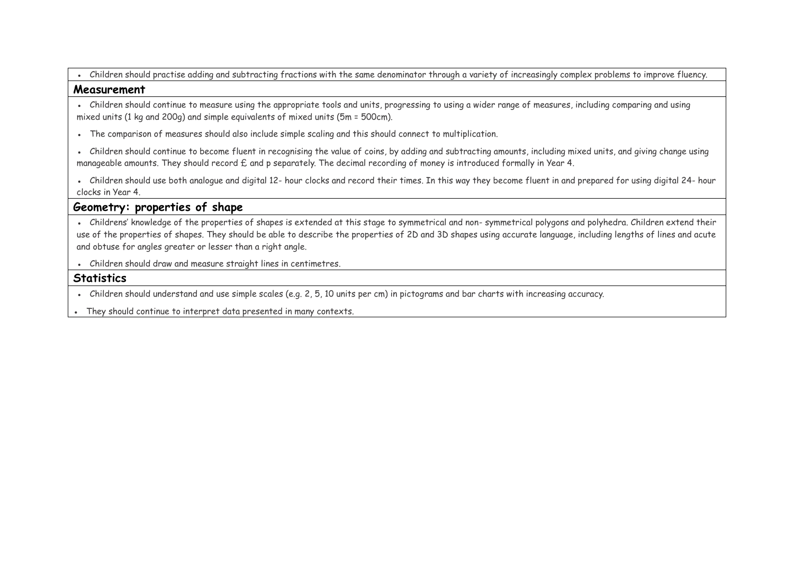• Children should practise adding and subtracting fractions with the same denominator through a variety of increasingly complex problems to improve fluency.

#### **Measurement**

• Children should continue to measure using the appropriate tools and units, progressing to using a wider range of measures, including comparing and using mixed units (1 kg and 200g) and simple equivalents of mixed units (5m = 500cm).

- The comparison of measures should also include simple scaling and this should connect to multiplication.
- Children should continue to become fluent in recognising the value of coins, by adding and subtracting amounts, including mixed units, and giving change using manageable amounts. They should record £ and p separately. The decimal recording of money is introduced formally in Year 4.

● Children should use both analogue and digital 12- hour clocks and record their times. In this way they become fluent in and prepared for using digital 24- hour clocks in Year 4.

# **Geometry: properties of shape**

● Childrens' knowledge of the properties of shapes is extended at this stage to symmetrical and non- symmetrical polygons and polyhedra. Children extend their use of the properties of shapes. They should be able to describe the properties of 2D and 3D shapes using accurate language, including lengths of lines and acute and obtuse for angles greater or lesser than a right angle.

• Children should draw and measure straight lines in centimetres.

## **Statistics**

● Children should understand and use simple scales (e.g. 2, 5, 10 units per cm) in pictograms and bar charts with increasing accuracy.

• They should continue to interpret data presented in many contexts.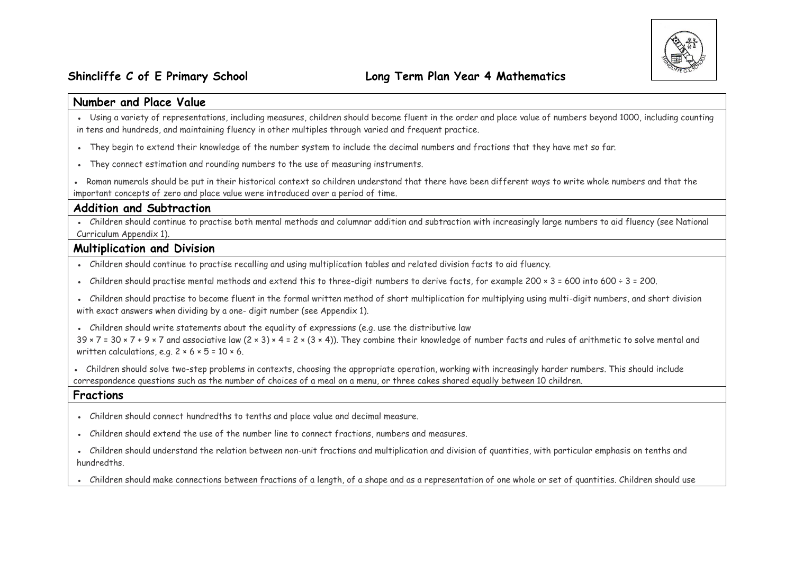

● Using a variety of representations, including measures, children should become fluent in the order and place value of numbers beyond 1000, including counting in tens and hundreds, and maintaining fluency in other multiples through varied and frequent practice.

- They begin to extend their knowledge of the number system to include the decimal numbers and fractions that they have met so far.
- They connect estimation and rounding numbers to the use of measuring instruments.

● Roman numerals should be put in their historical context so children understand that there have been different ways to write whole numbers and that the important concepts of zero and place value were introduced over a period of time.

## **Addition and Subtraction**

• Children should continue to practise both mental methods and columnar addition and subtraction with increasingly large numbers to aid fluency (see National Curriculum Appendix 1).

# **Multiplication and Division**

- Children should continue to practise recalling and using multiplication tables and related division facts to aid fluency.
- Children should practise mental methods and extend this to three-digit numbers to derive facts, for example 200  $\times$  3 = 600 into 600 ÷ 3 = 200.
- Children should practise to become fluent in the formal written method of short multiplication for multiplying using multi-digit numbers, and short division with exact answers when dividing by a one- digit number (see Appendix 1).
- Children should write statements about the equality of expressions (e.g. use the distributive law

 $39 \times 7 = 30 \times 7 + 9 \times 7$  and associative law  $(2 \times 3) \times 4 = 2 \times (3 \times 4)$ ). They combine their knowledge of number facts and rules of arithmetic to solve mental and written calculations, e.g.  $2 \times 6 \times 5 = 10 \times 6$ .

● Children should solve two-step problems in contexts, choosing the appropriate operation, working with increasingly harder numbers. This should include correspondence questions such as the number of choices of a meal on a menu, or three cakes shared equally between 10 children.

## **Fractions**

- Children should connect hundredths to tenths and place value and decimal measure.
- Children should extend the use of the number line to connect fractions, numbers and measures.
- Children should understand the relation between non-unit fractions and multiplication and division of quantities, with particular emphasis on tenths and hundredths.

Children should make connections between fractions of a length, of a shape and as a representation of one whole or set of quantities. Children should use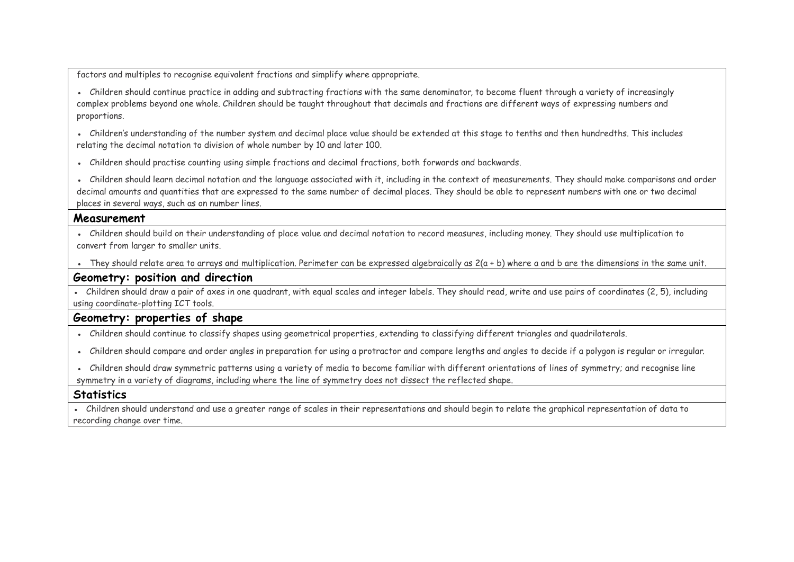factors and multiples to recognise equivalent fractions and simplify where appropriate.

• Children should continue practice in adding and subtracting fractions with the same denominator, to become fluent through a variety of increasingly complex problems beyond one whole. Children should be taught throughout that decimals and fractions are different ways of expressing numbers and proportions.

● Children's understanding of the number system and decimal place value should be extended at this stage to tenths and then hundredths. This includes relating the decimal notation to division of whole number by 10 and later 100.

• Children should practise counting using simple fractions and decimal fractions, both forwards and backwards.

• Children should learn decimal notation and the language associated with it, including in the context of measurements. They should make comparisons and order decimal amounts and quantities that are expressed to the same number of decimal places. They should be able to represent numbers with one or two decimal places in several ways, such as on number lines.

#### **Measurement**

● Children should build on their understanding of place value and decimal notation to record measures, including money. They should use multiplication to convert from larger to smaller units.

• They should relate area to arrays and multiplication. Perimeter can be expressed algebraically as  $2(a + b)$  where a and b are the dimensions in the same unit.

#### **Geometry: position and direction**

• Children should draw a pair of axes in one quadrant, with equal scales and integer labels. They should read, write and use pairs of coordinates (2, 5), including using coordinate-plotting ICT tools.

## **Geometry: properties of shape**

● Children should continue to classify shapes using geometrical properties, extending to classifying different triangles and quadrilaterals.

• Children should compare and order angles in preparation for using a protractor and compare lengths and angles to decide if a polygon is regular or irregular.

• Children should draw symmetric patterns using a variety of media to become familiar with different orientations of lines of symmetry; and recognise line symmetry in a variety of diagrams, including where the line of symmetry does not dissect the reflected shape.

#### **Statistics**

● Children should understand and use a greater range of scales in their representations and should begin to relate the graphical representation of data to recording change over time.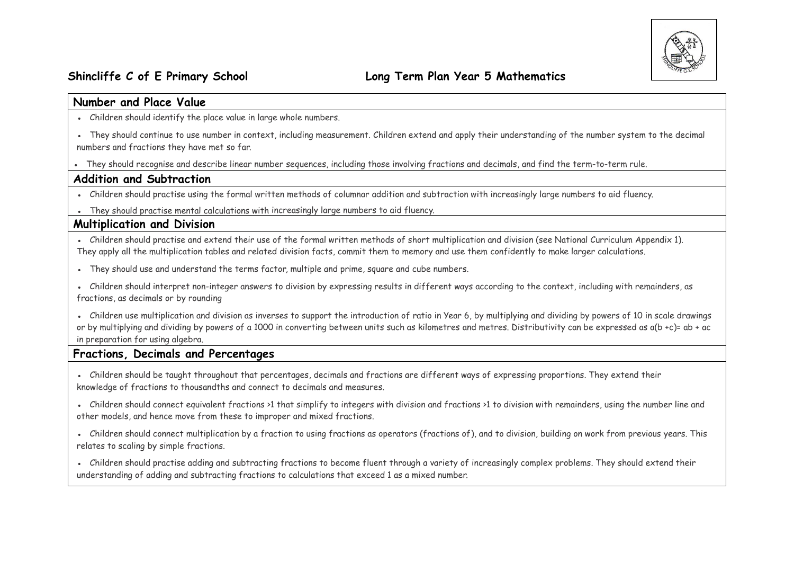

- Children should identify the place value in large whole numbers.
- They should continue to use number in context, including measurement. Children extend and apply their understanding of the number system to the decimal numbers and fractions they have met so far.
- They should recognise and describe linear number sequences, including those involving fractions and decimals, and find the term-to-term rule.

# **Addition and Subtraction**

• Children should practise using the formal written methods of columnar addition and subtraction with increasingly large numbers to aid fluency.

• They should practise mental calculations with increasingly large numbers to aid fluency.

# **Multiplication and Division**

● Children should practise and extend their use of the formal written methods of short multiplication and division (see National Curriculum Appendix 1). They apply all the multiplication tables and related division facts, commit them to memory and use them confidently to make larger calculations.

• They should use and understand the terms factor, multiple and prime, square and cube numbers.

● Children should interpret non-integer answers to division by expressing results in different ways according to the context, including with remainders, as fractions, as decimals or by rounding

● Children use multiplication and division as inverses to support the introduction of ratio in Year 6, by multiplying and dividing by powers of 10 in scale drawings or by multiplying and dividing by powers of a 1000 in converting between units such as kilometres and metres. Distributivity can be expressed as a(b +c)= ab + ac in preparation for using algebra.

## **Fractions, Decimals and Percentages**

• Children should be taught throughout that percentages, decimals and fractions are different ways of expressing proportions. They extend their knowledge of fractions to thousandths and connect to decimals and measures.

• Children should connect equivalent fractions >1 that simplify to integers with division and fractions >1 to division with remainders, using the number line and other models, and hence move from these to improper and mixed fractions.

● Children should connect multiplication by a fraction to using fractions as operators (fractions of), and to division, building on work from previous years. This relates to scaling by simple fractions.

• Children should practise adding and subtracting fractions to become fluent through a variety of increasingly complex problems. They should extend their understanding of adding and subtracting fractions to calculations that exceed 1 as a mixed number.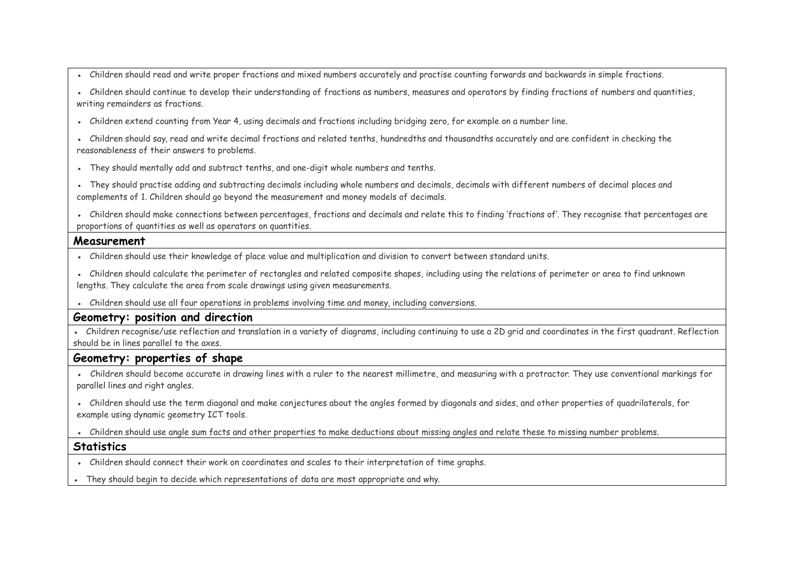- Children should read and write proper fractions and mixed numbers accurately and practise counting forwards and backwards in simple fractions.
- Children should continue to develop their understanding of fractions as numbers, measures and operators by finding fractions of numbers and quantities, writing remainders as fractions.
- Children extend counting from Year 4, using decimals and fractions including bridging zero, for example on a number line.
- Children should say, read and write decimal fractions and related tenths, hundredths and thousandths accurately and are confident in checking the reasonableness of their answers to problems.
- They should mentally add and subtract tenths, and one-digit whole numbers and tenths.
- They should practise adding and subtracting decimals including whole numbers and decimals, decimals with different numbers of decimal places and complements of 1. Children should go beyond the measurement and money models of decimals.
- Children should make connections between percentages, fractions and decimals and relate this to finding 'fractions of'. They recognise that percentages are proportions of quantities as well as operators on quantities.

#### **Measurement**

- Children should use their knowledge of place value and multiplication and division to convert between standard units.
- Children should calculate the perimeter of rectangles and related composite shapes, including using the relations of perimeter or area to find unknown lengths. They calculate the area from scale drawings using given measurements.
- Children should use all four operations in problems involving time and money, including conversions.

## **Geometry: position and direction**

● Children recognise/use reflection and translation in a variety of diagrams, including continuing to use a 2D grid and coordinates in the first quadrant. Reflection should be in lines parallel to the axes.

## **Geometry: properties of shape**

- Children should become accurate in drawing lines with a ruler to the nearest millimetre, and measuring with a protractor. They use conventional markings for parallel lines and right angles.
- Children should use the term diagonal and make conjectures about the angles formed by diagonals and sides, and other properties of quadrilaterals, for example using dynamic geometry ICT tools.
- Children should use angle sum facts and other properties to make deductions about missing angles and relate these to missing number problems.

## **Statistics**

- Children should connect their work on coordinates and scales to their interpretation of time graphs.
- They should begin to decide which representations of data are most appropriate and why.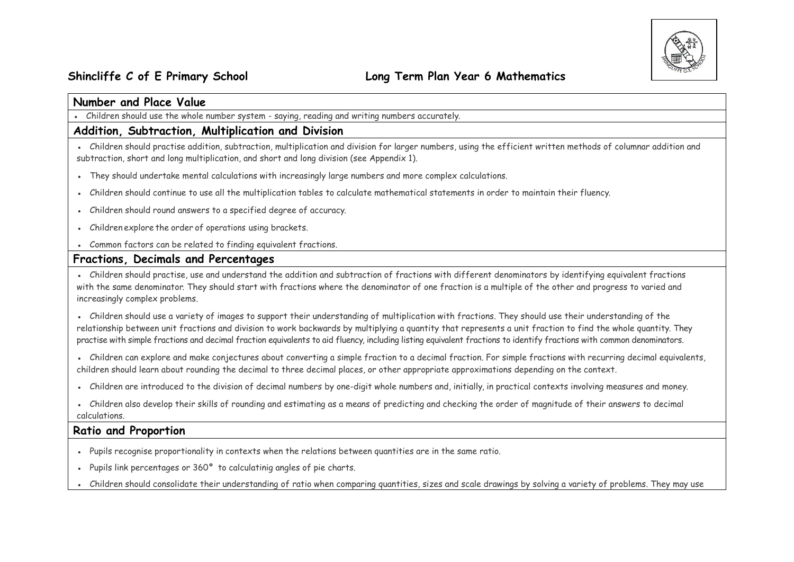

• Children should use the whole number system - saying, reading and writing numbers accurately.

# **Addition, Subtraction, Multiplication and Division**

● Children should practise addition, subtraction, multiplication and division for larger numbers, using the efficient written methods of columnar addition and subtraction, short and long multiplication, and short and long division (see Appendix 1).

- They should undertake mental calculations with increasingly large numbers and more complex calculations.
- Children should continue to use all the multiplication tables to calculate mathematical statements in order to maintain their fluency.
- Children should round answers to a specified degree of accuracy.
- Children explore the order of operations using brackets.
- Common factors can be related to finding equivalent fractions.

# **Fractions, Decimals and Percentages**

● Children should practise, use and understand the addition and subtraction of fractions with different denominators by identifying equivalent fractions with the same denominator. They should start with fractions where the denominator of one fraction is a multiple of the other and progress to varied and increasingly complex problems.

• Children should use a variety of images to support their understanding of multiplication with fractions. They should use their understanding of the relationship between unit fractions and division to work backwards by multiplying a quantity that represents a unit fraction to find the whole quantity. They practise with simple fractions and decimal fraction equivalents to aid fluency, including listing equivalent fractions to identify fractions with common denominators.

• Children can explore and make conjectures about converting a simple fraction to a decimal fraction. For simple fractions with recurring decimal equivalents, children should learn about rounding the decimal to three decimal places, or other appropriate approximations depending on the context.

● Children are introduced to the division of decimal numbers by one-digit whole numbers and, initially, in practical contexts involving measures and money.

• Children also develop their skills of rounding and estimating as a means of predicting and checking the order of magnitude of their answers to decimal calculations.

# **Ratio and Proportion**

- Pupils recognise proportionality in contexts when the relations between quantities are in the same ratio.
- Pupils link percentages or 360° to calculatinig angles of pie charts.
- Children should consolidate their understanding of ratio when comparing quantities, sizes and scale drawings by solving a variety of problems. They may use